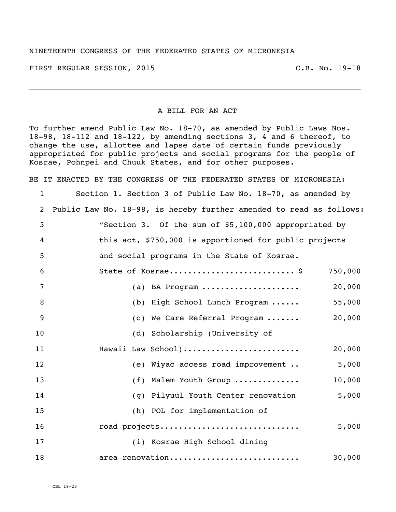## NINETEENTH CONGRESS OF THE FEDERATED STATES OF MICRONESIA

FIRST REGULAR SESSION, 2015 C.B. No. 19-18

## A BILL FOR AN ACT

To further amend Public Law No. 18-70, as amended by Public Laws Nos. 18-98, 18-112 and 18-122, by amending sections 3, 4 and 6 thereof, to change the use, allottee and lapse date of certain funds previously appropriated for public projects and social programs for the people of Kosrae, Pohnpei and Chuuk States, and for other purposes.

BE IT ENACTED BY THE CONGRESS OF THE FEDERATED STATES OF MICRONESIA: Section 1. Section 3 of Public Law No. 18-70, as amended by

 Public Law No. 18-98, is hereby further amended to read as follows: "Section 3. Of the sum of \$5,100,000 appropriated by this act, \$750,000 is apportioned for public projects and social programs in the State of Kosrae. State of Kosrae........................... \$ 750,000 (a) BA Program ..................... 20,000 8 (b) High School Lunch Program ...... 55,000 (c) We Care Referral Program ....... 20,000 (d) Scholarship (University of **Hawaii Law School).........................** 20,000 (e) Wiyac access road improvement .. 5,000 (f) Malem Youth Group .............. 10,000 (g) Pilyuul Youth Center renovation 5,000 (h) POL for implementation of road projects.............................. 5,000 (i) Kosrae High School dining

**area renovation..........................** 30,000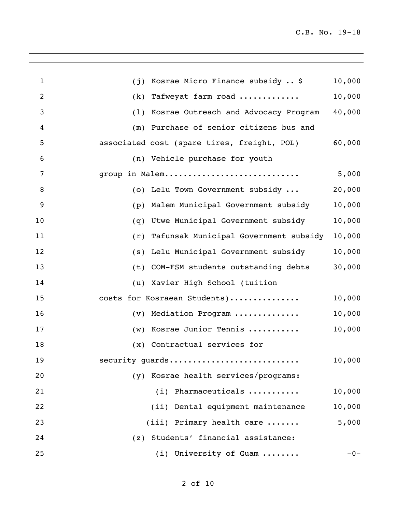| $\mathbf 1$ | Kosrae Micro Finance subsidy  \$<br>(i)      | 10,000 |
|-------------|----------------------------------------------|--------|
| 2           | Tafweyat farm road<br>(k)                    | 10,000 |
| 3           | Kosrae Outreach and Advocacy Program<br>(1)  | 40,000 |
| 4           | Purchase of senior citizens bus and<br>(m)   |        |
| 5           | associated cost (spare tires, freight, POL)  | 60,000 |
| 6           | (n) Vehicle purchase for youth               |        |
| 7           | group in Malem                               | 5,000  |
| 8           | (o) Lelu Town Government subsidy             | 20,000 |
| 9           | Malem Municipal Government subsidy<br>(p)    | 10,000 |
| 10          | Utwe Municipal Government subsidy<br>(q)     | 10,000 |
| 11          | Tafunsak Municipal Government subsidy<br>(r) | 10,000 |
| 12          | Lelu Municipal Government subsidy<br>(s)     | 10,000 |
| 13          | COM-FSM students outstanding debts<br>(t)    | 30,000 |
| 14          | Xavier High School (tuition<br>(u)           |        |
| 15          | costs for Kosraean Students)                 | 10,000 |
| 16          | Mediation Program<br>(v)                     | 10,000 |
| 17          | Kosrae Junior Tennis<br>(w)                  | 10,000 |
| 18          | (x) Contractual services for                 |        |
| 19          | security guards                              | 10,000 |
| 20          | (y) Kosrae health services/programs:         |        |
| 21          | (i) Pharmaceuticals                          | 10,000 |
| 22          | (ii) Dental equipment maintenance            | 10,000 |
| 23          | (iii) Primary health care                    | 5,000  |
| 24          | (z) Students' financial assistance:          |        |
| 25          | (i) University of Guam                       | $-0-$  |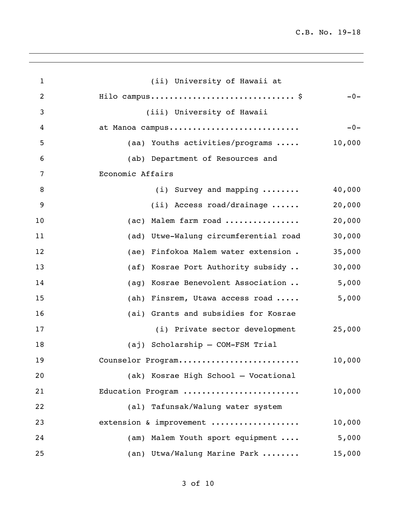| $\mathbf{1}$   | (ii) University of Hawaii at             |        |
|----------------|------------------------------------------|--------|
| $\overline{2}$ | Hilo campus \$                           | $-0-$  |
| 3              | (iii) University of Hawaii               |        |
| 4              | at Manoa campus                          | $-0-$  |
| 5              | (aa) Youths activities/programs          | 10,000 |
| 6              | (ab) Department of Resources and         |        |
| 7              | Economic Affairs                         |        |
| 8              | $(i)$ Survey and mapping $\ldots \ldots$ | 40,000 |
| 9              | $(i)$ Access road/drainage               | 20,000 |
| 10             | (ac) Malem farm road                     | 20,000 |
| 11             | (ad) Utwe-Walung circumferential road    | 30,000 |
| 12             | (ae) Finfokoa Malem water extension.     | 35,000 |
| 13             | (af) Kosrae Port Authority subsidy       | 30,000 |
| 14             | (ag) Kosrae Benevolent Association       | 5,000  |
| 15             | (ah) Finsrem, Utawa access road          | 5,000  |
| 16             | (ai) Grants and subsidies for Kosrae     |        |
| 17             | (i) Private sector development           | 25,000 |
| 18             | (aj) Scholarship - COM-FSM Trial         |        |
| 19             | Counselor Program                        | 10,000 |
| 20             | (ak) Kosrae High School - Vocational     |        |
| 21             | Education Program                        | 10,000 |
| 22             | (al) Tafunsak/Walung water system        |        |
| 23             | extension & improvement                  | 10,000 |
| 24             | (am) Malem Youth sport equipment         | 5,000  |
| 25             | (an) Utwa/Walung Marine Park             | 15,000 |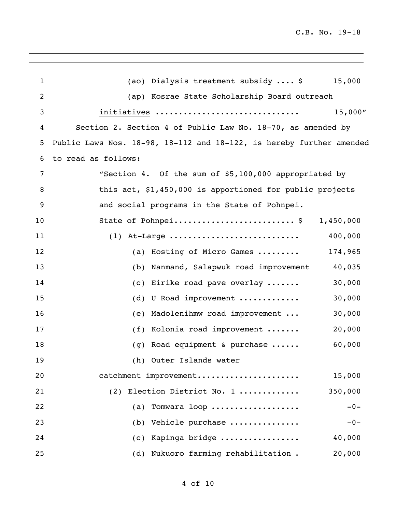| $\mathbf 1$    | (ao) Dialysis treatment subsidy  \$<br>15,000                        |
|----------------|----------------------------------------------------------------------|
| $\overline{2}$ | (ap) Kosrae State Scholarship Board outreach                         |
| 3              | 15,000''<br>initiatives                                              |
| 4              | Section 2. Section 4 of Public Law No. 18-70, as amended by          |
| 5              | Public Laws Nos. 18-98, 18-112 and 18-122, is hereby further amended |
| 6              | to read as follows:                                                  |
| 7              | "Section 4. Of the sum of \$5,100,000 appropriated by                |
| 8              | this act, \$1,450,000 is apportioned for public projects             |
| 9              | and social programs in the State of Pohnpei.                         |
| 10             | State of Pohnpei\$<br>1,450,000                                      |
| 11             | 400,000<br>$(1)$ At-Large                                            |
| 12             | (a) Hosting of Micro Games<br>174,965                                |
| 13             | Nanmand, Salapwuk road improvement<br>40,035<br>(b)                  |
| 14             | 30,000<br>(c) Eirike road pave overlay                               |
| 15             | 30,000<br>(d) U Road improvement                                     |
| 16             | Madolenihmw road improvement<br>30,000<br>(e)                        |
| 17             | 20,000<br>(f) Kolonia road improvement                               |
| 18             | 60,000<br>(g) Road equipment & purchase                              |
| 19             | (h) Outer Islands water                                              |
| 20             | catchment improvement<br>15,000                                      |
| 21             | (2) Election District No. 1<br>350,000                               |
| 22             | $-0-$<br>Tomwara loop<br>(a)                                         |
| 23             | Vehicle purchase<br>$-0-$<br>(b)                                     |
| 24             | (c) Kapinga bridge<br>40,000                                         |
| 25             | (d) Nukuoro farming rehabilitation.<br>20,000                        |
|                |                                                                      |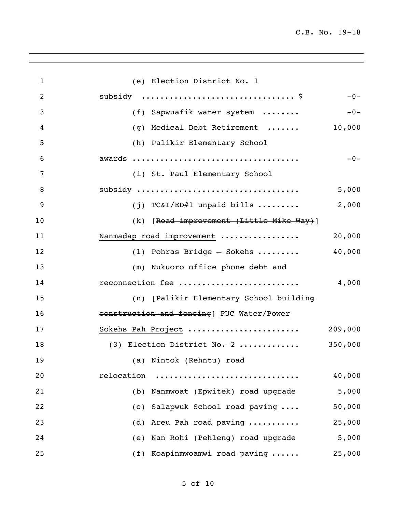| $\mathbf{1}$   | (e) Election District No. 1               |         |
|----------------|-------------------------------------------|---------|
| $\overline{2}$ |                                           | $-0-$   |
| 3              | (f) Sapwuafik water system                | $-0-$   |
| 4              | Medical Debt Retirement<br>(q)            | 10,000  |
| 5              | (h) Palikir Elementary School             |         |
| 6              |                                           | $-0-$   |
| 7              | (i) St. Paul Elementary School            |         |
| 8              | subsidy                                   | 5,000   |
| 9              | (j) TC&I/ED#1 unpaid bills                | 2,000   |
| 10             | (k) [Road improvement (Little Mike Way)]  |         |
| 11             | Nanmadap road improvement                 | 20,000  |
| 12             | $(1)$ Pohras Bridge — Sokehs              | 40,000  |
| 13             | (m) Nukuoro office phone debt and         |         |
| 14             | reconnection fee                          | 4,000   |
| 15             | (n) [Palikir Elementary School building   |         |
| 16             | construction and fencing] PUC Water/Power |         |
| 17             | Sokehs Pah Project                        | 209,000 |
| 18             | (3) Election District No. 2               | 350,000 |
| 19             | (a) Nintok (Rehntu) road                  |         |
| 20             | relocation                                | 40,000  |
| 21             | (b) Nanmwoat (Epwitek) road upgrade       | 5,000   |
| 22             | Salapwuk School road paving<br>(C)        | 50,000  |
| 23             | (d) Areu Pah road paving                  | 25,000  |
| 24             | (e) Nan Rohi (Pehleng) road upgrade       | 5,000   |
| 25             | (f) Koapinmwoamwi road paving             | 25,000  |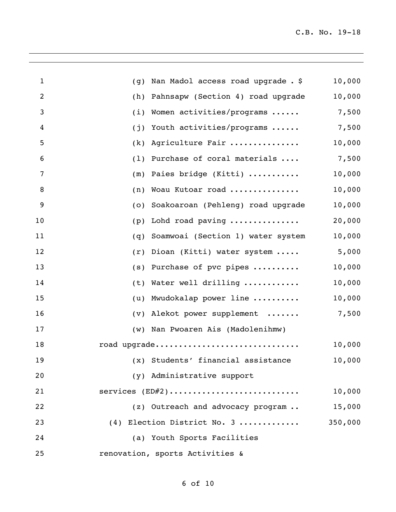| 1  | (g) | Nan Madol access road upgrade . \$ | 10,000  |
|----|-----|------------------------------------|---------|
| 2  | (h) | Pahnsapw (Section 4) road upgrade  | 10,000  |
| 3  | (i) | Women activities/programs          | 7,500   |
| 4  | (j) | Youth activities/programs          | 7,500   |
| 5  | (k) | Agriculture Fair                   | 10,000  |
| 6  | (1) | Purchase of coral materials        | 7,500   |
| 7  | (m) | Paies bridge (Kitti)               | 10,000  |
| 8  | (n) | Woau Kutoar road                   | 10,000  |
| 9  | (0) | Soakoaroan (Pehleng) road upgrade  | 10,000  |
| 10 | (p) | Lohd road paving                   | 20,000  |
| 11 | (q) | Soamwoai (Section 1) water system  | 10,000  |
| 12 | (r) | Dioan (Kitti) water system         | 5,000   |
| 13 | (s) | Purchase of pvc pipes              | 10,000  |
| 14 | (t) | Water well drilling                | 10,000  |
| 15 | (u) | Mwudokalap power line              | 10,000  |
| 16 |     | (v) Alekot power supplement        | 7,500   |
| 17 |     | (w) Nan Pwoaren Ais (Madolenihmw)  |         |
| 18 |     | road upgrade                       | 10,000  |
| 19 |     | (x) Students' financial assistance | 10,000  |
| 20 |     | (y) Administrative support         |         |
| 21 |     | services $(ED#2)$                  | 10,000  |
| 22 |     | (z) Outreach and advocacy program  | 15,000  |
| 23 |     | (4) Election District No. 3        | 350,000 |
| 24 |     | (a) Youth Sports Facilities        |         |
| 25 |     | renovation, sports Activities &    |         |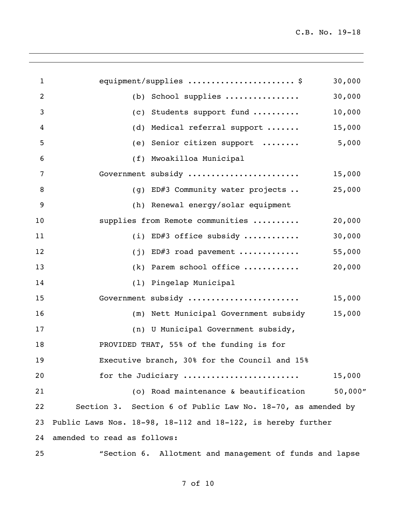| 1              | equipment/supplies  \$                                       | 30,000   |
|----------------|--------------------------------------------------------------|----------|
| $\overline{2}$ | School supplies<br>(b)                                       | 30,000   |
| 3              | Students support fund<br>(C)                                 | 10,000   |
| 4              | Medical referral support<br>(d)                              | 15,000   |
| 5              | Senior citizen support<br>(e)                                | 5,000    |
| 6              | Mwoakilloa Municipal<br>(f)                                  |          |
| 7              | Government subsidy                                           | 15,000   |
| 8              | (g) ED#3 Community water projects                            | 25,000   |
| 9              | (h) Renewal energy/solar equipment                           |          |
| 10             | supplies from Remote communities                             | 20,000   |
| 11             | (i) ED#3 office subsidy                                      | 30,000   |
| 12             | ED#3 road pavement<br>(i)                                    | 55,000   |
| 13             | Parem school office<br>(k)                                   | 20,000   |
| 14             | (1) Pingelap Municipal                                       |          |
| 15             | Government subsidy                                           | 15,000   |
| 16             | Nett Municipal Government subsidy<br>(m)                     | 15,000   |
| 17             | (n) U Municipal Government subsidy,                          |          |
| 18             | PROVIDED THAT, 55% of the funding is for                     |          |
| 19             | Executive branch, 30% for the Council and 15%                |          |
| 20             | for the Judiciary                                            | 15,000   |
| 21             | (o) Road maintenance & beautification                        | 50,000'' |
| 22             | Section 3. Section 6 of Public Law No. 18-70, as amended by  |          |
| 23             | Public Laws Nos. 18-98, 18-112 and 18-122, is hereby further |          |
| 24             | amended to read as follows:                                  |          |
| 25             | "Section 6. Allotment and management of funds and lapse      |          |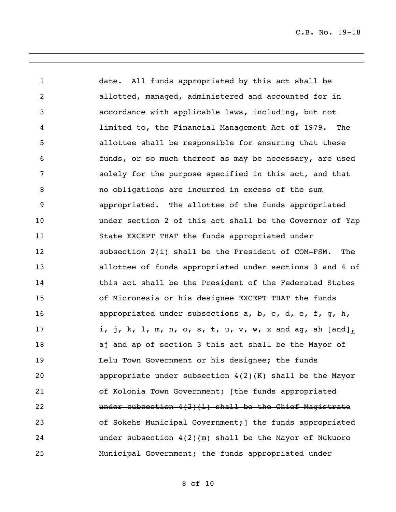date. All funds appropriated by this act shall be allotted, managed, administered and accounted for in accordance with applicable laws, including, but not limited to, the Financial Management Act of 1979. The allottee shall be responsible for ensuring that these funds, or so much thereof as may be necessary, are used solely for the purpose specified in this act, and that no obligations are incurred in excess of the sum appropriated. The allottee of the funds appropriated under section 2 of this act shall be the Governor of Yap State EXCEPT THAT the funds appropriated under subsection 2(i) shall be the President of COM-FSM. The allottee of funds appropriated under sections 3 and 4 of **this act shall be the President of the Federated States**  of Micronesia or his designee EXCEPT THAT the funds appropriated under subsections a, b, c, d, e, f, g, h, 17 i, j, k, l, m, n, o, s, t, u, v, w, x and ag, ah [<del>and</del>], aj and ap of section 3 this act shall be the Mayor of Lelu Town Government or his designee; the funds appropriate under subsection 4(2)(K) shall be the Mayor 21 of Kolonia Town Government; [the funds appropriated under subsection 4(2)(l) shall be the Chief Magistrate 23 of Sokehs Municipal Government; 1 the funds appropriated under subsection 4(2)(m) shall be the Mayor of Nukuoro Municipal Government; the funds appropriated under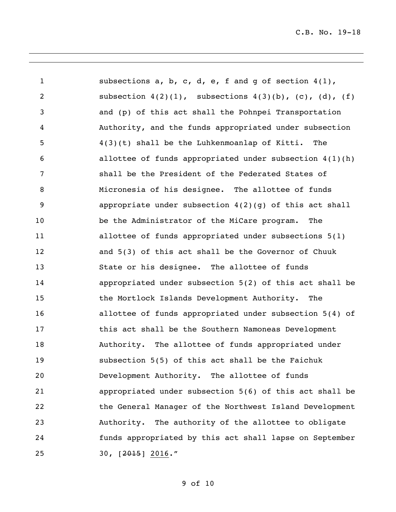subsections a, b, c, d, e, f and g of section 4(1), subsection 4(2)(1), subsections 4(3)(b), (c), (d), (f) and (p) of this act shall the Pohnpei Transportation Authority, and the funds appropriated under subsection 4(3)(t) shall be the Luhkenmoanlap of Kitti. The allottee of funds appropriated under subsection 4(1)(h) shall be the President of the Federated States of Micronesia of his designee. The allottee of funds appropriate under subsection 4(2)(g) of this act shall be the Administrator of the MiCare program. The allottee of funds appropriated under subsections 5(1) and 5(3) of this act shall be the Governor of Chuuk State or his designee. The allottee of funds appropriated under subsection 5(2) of this act shall be the Mortlock Islands Development Authority. The allottee of funds appropriated under subsection 5(4) of this act shall be the Southern Namoneas Development Authority. The allottee of funds appropriated under subsection 5(5) of this act shall be the Faichuk Development Authority. The allottee of funds appropriated under subsection 5(6) of this act shall be the General Manager of the Northwest Island Development Authority. The authority of the allottee to obligate funds appropriated by this act shall lapse on September 25 30,  $\left[\frac{2015}{2016}\right]$ , 2016."